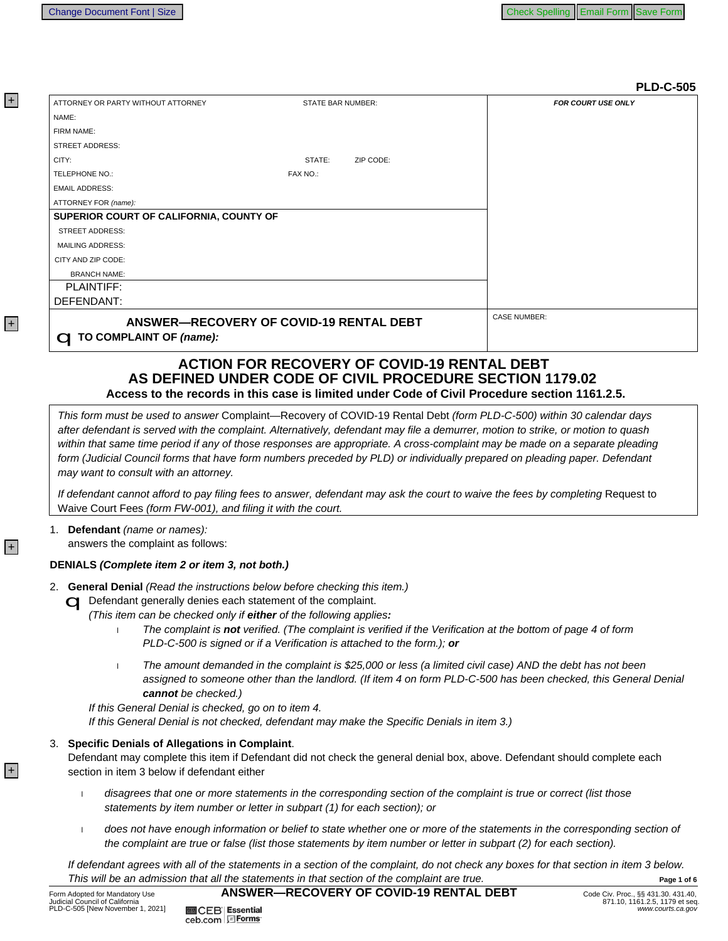|                                                                                                                                                                                                                                 |                                                                                                                                                                                                | <b>PLD-C-505</b>                                                                                                                                                                                                                                                                                                                                                                                                                                                                                                       |
|---------------------------------------------------------------------------------------------------------------------------------------------------------------------------------------------------------------------------------|------------------------------------------------------------------------------------------------------------------------------------------------------------------------------------------------|------------------------------------------------------------------------------------------------------------------------------------------------------------------------------------------------------------------------------------------------------------------------------------------------------------------------------------------------------------------------------------------------------------------------------------------------------------------------------------------------------------------------|
| ATTORNEY OR PARTY WITHOUT ATTORNEY                                                                                                                                                                                              | STATE BAR NUMBER:                                                                                                                                                                              | <b>FOR COURT USE ONLY</b>                                                                                                                                                                                                                                                                                                                                                                                                                                                                                              |
| NAME:                                                                                                                                                                                                                           |                                                                                                                                                                                                |                                                                                                                                                                                                                                                                                                                                                                                                                                                                                                                        |
| FIRM NAME:                                                                                                                                                                                                                      |                                                                                                                                                                                                |                                                                                                                                                                                                                                                                                                                                                                                                                                                                                                                        |
| <b>STREET ADDRESS:</b>                                                                                                                                                                                                          |                                                                                                                                                                                                |                                                                                                                                                                                                                                                                                                                                                                                                                                                                                                                        |
| CITY:                                                                                                                                                                                                                           | STATE:<br>ZIP CODE:                                                                                                                                                                            |                                                                                                                                                                                                                                                                                                                                                                                                                                                                                                                        |
| TELEPHONE NO.:                                                                                                                                                                                                                  | FAX NO.:                                                                                                                                                                                       |                                                                                                                                                                                                                                                                                                                                                                                                                                                                                                                        |
| <b>EMAIL ADDRESS:</b>                                                                                                                                                                                                           |                                                                                                                                                                                                |                                                                                                                                                                                                                                                                                                                                                                                                                                                                                                                        |
| ATTORNEY FOR (name):                                                                                                                                                                                                            |                                                                                                                                                                                                |                                                                                                                                                                                                                                                                                                                                                                                                                                                                                                                        |
| SUPERIOR COURT OF CALIFORNIA, COUNTY OF                                                                                                                                                                                         |                                                                                                                                                                                                |                                                                                                                                                                                                                                                                                                                                                                                                                                                                                                                        |
| <b>STREET ADDRESS:</b>                                                                                                                                                                                                          |                                                                                                                                                                                                |                                                                                                                                                                                                                                                                                                                                                                                                                                                                                                                        |
| <b>MAILING ADDRESS:</b>                                                                                                                                                                                                         |                                                                                                                                                                                                |                                                                                                                                                                                                                                                                                                                                                                                                                                                                                                                        |
| CITY AND ZIP CODE:                                                                                                                                                                                                              |                                                                                                                                                                                                |                                                                                                                                                                                                                                                                                                                                                                                                                                                                                                                        |
| <b>BRANCH NAME:</b>                                                                                                                                                                                                             |                                                                                                                                                                                                |                                                                                                                                                                                                                                                                                                                                                                                                                                                                                                                        |
| <b>PLAINTIFF:</b>                                                                                                                                                                                                               |                                                                                                                                                                                                |                                                                                                                                                                                                                                                                                                                                                                                                                                                                                                                        |
| DEFENDANT:                                                                                                                                                                                                                      |                                                                                                                                                                                                |                                                                                                                                                                                                                                                                                                                                                                                                                                                                                                                        |
|                                                                                                                                                                                                                                 | ANSWER-RECOVERY OF COVID-19 RENTAL DEBT                                                                                                                                                        | <b>CASE NUMBER:</b>                                                                                                                                                                                                                                                                                                                                                                                                                                                                                                    |
| <b>C TO COMPLAINT OF (name):</b>                                                                                                                                                                                                |                                                                                                                                                                                                |                                                                                                                                                                                                                                                                                                                                                                                                                                                                                                                        |
|                                                                                                                                                                                                                                 |                                                                                                                                                                                                |                                                                                                                                                                                                                                                                                                                                                                                                                                                                                                                        |
|                                                                                                                                                                                                                                 | <b>ACTION FOR RECOVERY OF COVID-19 RENTAL DEBT</b><br>AS DEFINED UNDER CODE OF CIVIL PROCEDURE SECTION 1179.02                                                                                 |                                                                                                                                                                                                                                                                                                                                                                                                                                                                                                                        |
|                                                                                                                                                                                                                                 | Access to the records in this case is limited under Code of Civil Procedure section 1161.2.5.                                                                                                  |                                                                                                                                                                                                                                                                                                                                                                                                                                                                                                                        |
| may want to consult with an attorney.                                                                                                                                                                                           |                                                                                                                                                                                                | This form must be used to answer Complaint—Recovery of COVID-19 Rental Debt (form PLD-C-500) within 30 calendar days<br>after defendant is served with the complaint. Alternatively, defendant may file a demurrer, motion to strike, or motion to quash<br>within that same time period if any of those responses are appropriate. A cross-complaint may be made on a separate pleading<br>form (Judicial Council forms that have form numbers preceded by PLD) or individually prepared on pleading paper. Defendant |
| Waive Court Fees (form FW-001), and filing it with the court.                                                                                                                                                                   |                                                                                                                                                                                                | If defendant cannot afford to pay filing fees to answer, defendant may ask the court to waive the fees by completing Request to                                                                                                                                                                                                                                                                                                                                                                                        |
| Defendant (name or names):<br>1.<br>answers the complaint as follows:                                                                                                                                                           |                                                                                                                                                                                                |                                                                                                                                                                                                                                                                                                                                                                                                                                                                                                                        |
| DENIALS (Complete item 2 or item 3, not both.)                                                                                                                                                                                  |                                                                                                                                                                                                |                                                                                                                                                                                                                                                                                                                                                                                                                                                                                                                        |
| 2. General Denial (Read the instructions below before checking this item.)<br>Defendant generally denies each statement of the complaint.<br>(This item can be checked only if either of the following applies:<br>$\mathbf{I}$ | The complaint is not verified. (The complaint is verified if the Verification at the bottom of page 4 of form<br>PLD-C-500 is signed or if a Verification is attached to the form.); or        |                                                                                                                                                                                                                                                                                                                                                                                                                                                                                                                        |
| $\mathbf{I}$<br>cannot be checked.)<br>If this General Denial is checked, go on to item 4.                                                                                                                                      | If this General Denial is not checked, defendant may make the Specific Denials in item 3.)                                                                                                     | The amount demanded in the complaint is \$25,000 or less (a limited civil case) AND the debt has not been<br>assigned to someone other than the landlord. (If item 4 on form PLD-C-500 has been checked, this General Denial                                                                                                                                                                                                                                                                                           |
| <b>Specific Denials of Allegations in Complaint.</b><br>3.<br>section in item 3 below if defendant either                                                                                                                       |                                                                                                                                                                                                | Defendant may complete this item if Defendant did not check the general denial box, above. Defendant should complete each                                                                                                                                                                                                                                                                                                                                                                                              |
| $\mathbf{I}$                                                                                                                                                                                                                    | disagrees that one or more statements in the corresponding section of the complaint is true or correct (list those<br>statements by item number or letter in subpart (1) for each section); or |                                                                                                                                                                                                                                                                                                                                                                                                                                                                                                                        |

does not have enough information or belief to state whether one or more of the statements in the corresponding section of  $\mathbf{I}$ the complaint are true or false (list those statements by item number or letter in subpart (2) for each section).

If defendant agrees with all of the statements in a section of the complaint, do not check any boxes for that section in item 3 below. This will be an admission that all the statements in that section of the complaint are true. Page 1 of 6

**图 CEB Essential** 

ceb.com EForms

 $\overline{+}$ 

 $|+|$ 

 $\overline{+}$ 

 $\overline{+}$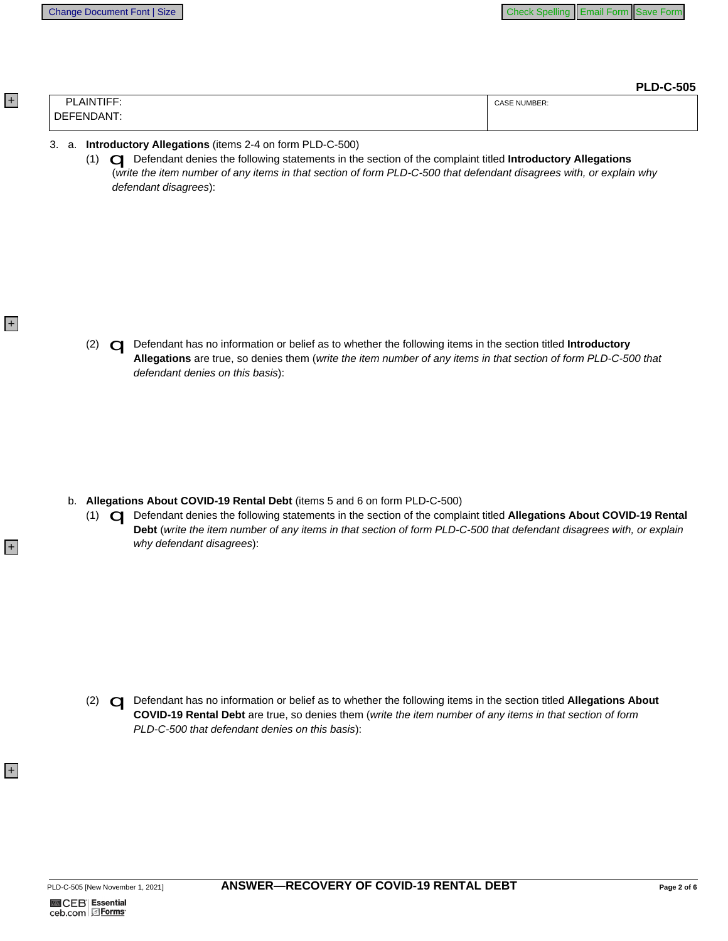**PLD-C-505** 

| - - - -<br>ום<br>۱N<br> | NUMBER:<br>:AS |
|-------------------------|----------------|
| ำ⊩<br>ΔN<br>- I– NII    |                |

## 3. a. Introductory Allegations (items 2-4 on form PLD-C-500)

(1) C Defendant denies the following statements in the section of the complaint titled Introductory Allegations (write the item number of any items in that section of form PLD-C-500 that defendant disagrees with, or explain why defendant disagrees):

 $+$ 

+

 $|+|$ 

(2) C Defendant has no information or belief as to whether the following items in the section titled Introductory Allegations are true, so denies them (write the item number of any items in that section of form PLD-C-500 that defendant denies on this basis):

- b. Allegations About COVID-19 Rental Debt (items 5 and 6 on form PLD-C-500)
	- (1) < Defendant denies the following statements in the section of the complaint titled Allegations About COVID-19 Rental Debt (write the item number of any items in that section of form PLD-C-500 that defendant disagrees with, or explain why defendant disagrees):

(2) C Defendant has no information or belief as to whether the following items in the section titled Allegations About COVID-19 Rental Debt are true, so denies them (write the item number of any items in that section of form PLD-C-500 that defendant denies on this basis):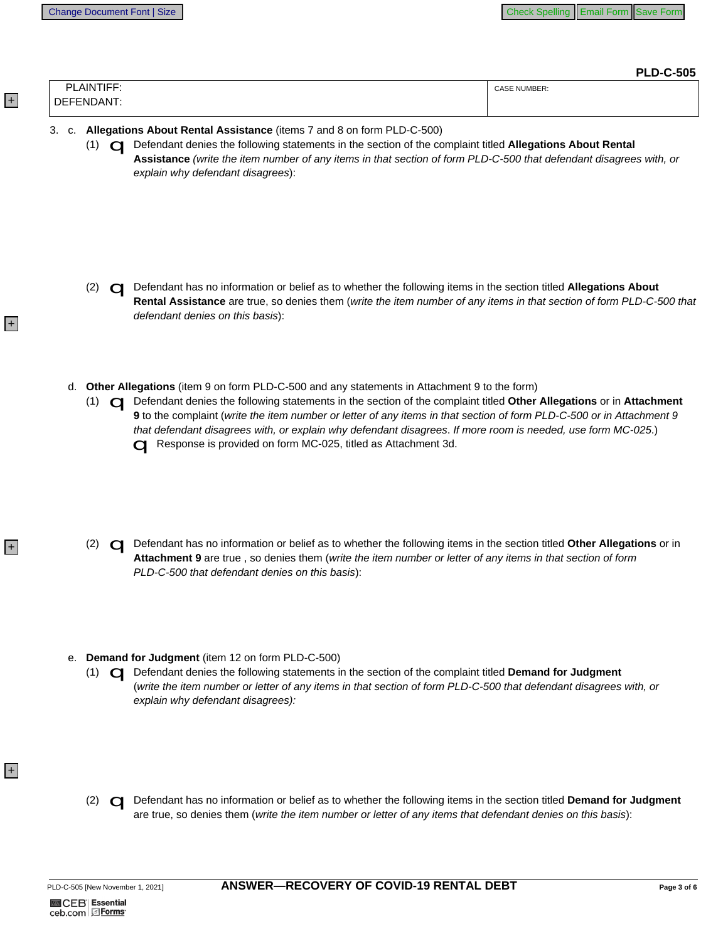$+$ 

 $|+|$ 

 $\left| + \right|$ 

 $\left| + \right|$ 

**PLD-C-505** 

|                            | .                   |
|----------------------------|---------------------|
| LAINTIF <sup>F</sup><br>ום | <b>CASE NUMBER:</b> |
| DEFENDANT:                 |                     |

## 3. c. Allegations About Rental Assistance (items 7 and 8 on form PLD-C-500)

(1) C Defendant denies the following statements in the section of the complaint titled Allegations About Rental Assistance (write the item number of any items in that section of form PLD-C-500 that defendant disagrees with, or explain why defendant disagrees):

- (2) C Defendant has no information or belief as to whether the following items in the section titled Allegations About Rental Assistance are true, so denies them (write the item number of any items in that section of form PLD-C-500 that defendant denies on this basis):
- d. Other Allegations (item 9 on form PLD-C-500 and any statements in Attachment 9 to the form)
	- (1) <a>
	O<br />
	Defendant denies the following statements in the section of the complaint titled Other Allegations or in Attachment 9 to the complaint (write the item number or letter of any items in that section of form PLD-C-500 or in Attachment 9 that defendant disagrees with, or explain why defendant disagrees. If more room is needed, use form MC-025.) Response is provided on form MC-025, titled as Attachment 3d.
	- (2) C Defendant has no information or belief as to whether the following items in the section titled Other Allegations or in Attachment 9 are true, so denies them (write the item number or letter of any items in that section of form PLD-C-500 that defendant denies on this basis):
- e. Demand for Judgment (item 12 on form PLD-C-500)
	- (1) C Defendant denies the following statements in the section of the complaint titled Demand for Judgment (write the item number or letter of any items in that section of form PLD-C-500 that defendant disagrees with, or explain why defendant disagrees):
	- (2) C Defendant has no information or belief as to whether the following items in the section titled Demand for Judgment are true, so denies them (write the item number or letter of any items that defendant denies on this basis):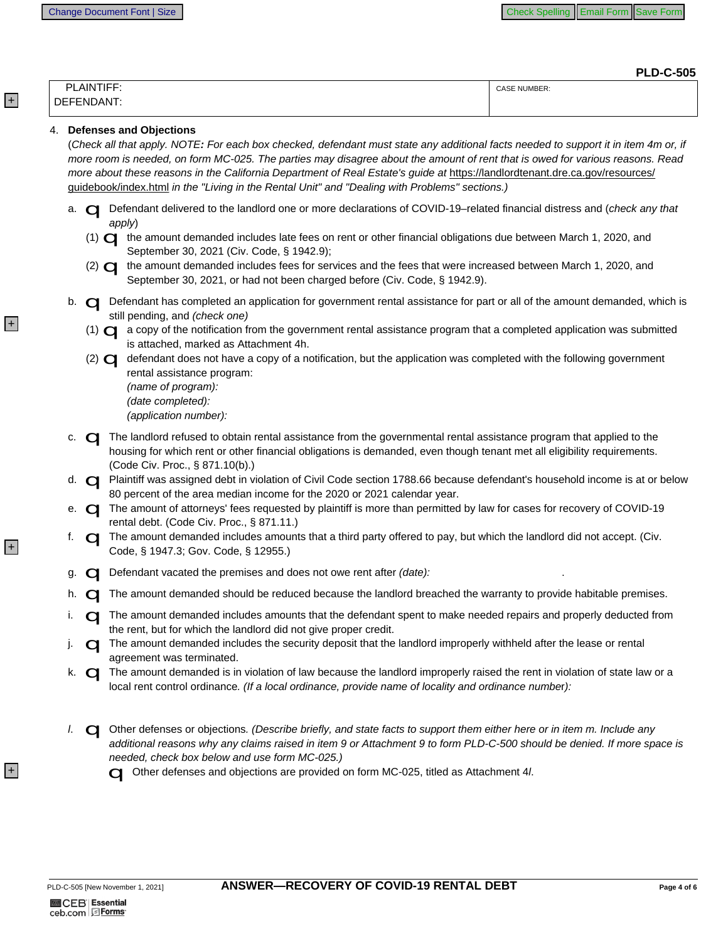**PLD-C-505** 

|                       | . == <del>.</del>   |
|-----------------------|---------------------|
| <b>LAINTIFF</b><br>ים | <b>CASE NUMBER:</b> |
| DEFENDANT:            |                     |
|                       |                     |

## 4. Defenses and Objections

 $|+|$ 

 $\left| + \right|$ 

 $\left| + \right|$ 

(Check all that apply. NOTE: For each box checked, defendant must state any additional facts needed to support it in item 4m or, if more room is needed, on form MC-025. The parties may disagree about the amount of rent that is owed for various reasons. Read more about these reasons in the California Department of Real Estate's quide at https://landlordtenant.dre.ca.gov/resources/ quidebook/index.html in the "Living in the Rental Unit" and "Dealing with Problems" sections.)

- a. **O Defendant delivered to the landlord one or more declarations of COVID-19-related financial distress and (check any that** apply)
	- (1) <a>
	(1)<br />
	the amount demanded includes late fees on rent or other financial obligations due between March 1, 2020, and September 30, 2021 (Civ. Code, § 1942.9);
	- $(2)$   $\Box$ the amount demanded includes fees for services and the fees that were increased between March 1, 2020, and September 30, 2021, or had not been charged before (Civ. Code, § 1942.9).
- b. **Q** Defendant has completed an application for government rental assistance for part or all of the amount demanded, which is still pending, and (check one)
	- (1) <a>I a copy of the notification from the government rental assistance program that a completed application was submitted is attached, marked as Attachment 4h.
	- (2) < defendant does not have a copy of a notification, but the application was completed with the following government rental assistance program: (name of program):

```
(date completed):
(application number):
```
- c. < The landlord refused to obtain rental assistance from the governmental rental assistance program that applied to the housing for which rent or other financial obligations is demanded, even though tenant met all eligibility requirements. (Code Civ. Proc., § 871.10(b).)
- d. <a>
C<br />
Plaintiff was assigned debt in violation of Civil Code section 1788.66 because defendant's household income is at or below 80 percent of the area median income for the 2020 or 2021 calendar year.
- e. <a>
The amount of attorneys' fees requested by plaintiff is more than permitted by law for cases for recovery of COVID-19 rental debt. (Code Civ. Proc., § 871.11.)
- O The amount demanded includes amounts that a third party offered to pay, but which the landlord did not accept. (Civ. f. Code, § 1947.3; Gov. Code, § 12955.)
- O Defendant vacated the premises and does not owe rent after (date): g.
- h. **O** The amount demanded should be reduced because the landlord breached the warranty to provide habitable premises.
- O The amount demanded includes amounts that the defendant spent to make needed repairs and properly deducted from i. the rent, but for which the landlord did not give proper credit.
- j. < The amount demanded includes the security deposit that the landlord improperly withheld after the lease or rental agreement was terminated.
- k. **O** The amount demanded is in violation of law because the landlord improperly raised the rent in violation of state law or a local rent control ordinance. (If a local ordinance, provide name of locality and ordinance number):
- Of Other defenses or objections. (Describe briefly, and state facts to support them either here or in item m. Include any I. additional reasons why any claims raised in item 9 or Attachment 9 to form PLD-C-500 should be denied. If more space is needed, check box below and use form MC-025.)

Of Other defenses and objections are provided on form MC-025, titled as Attachment 4/.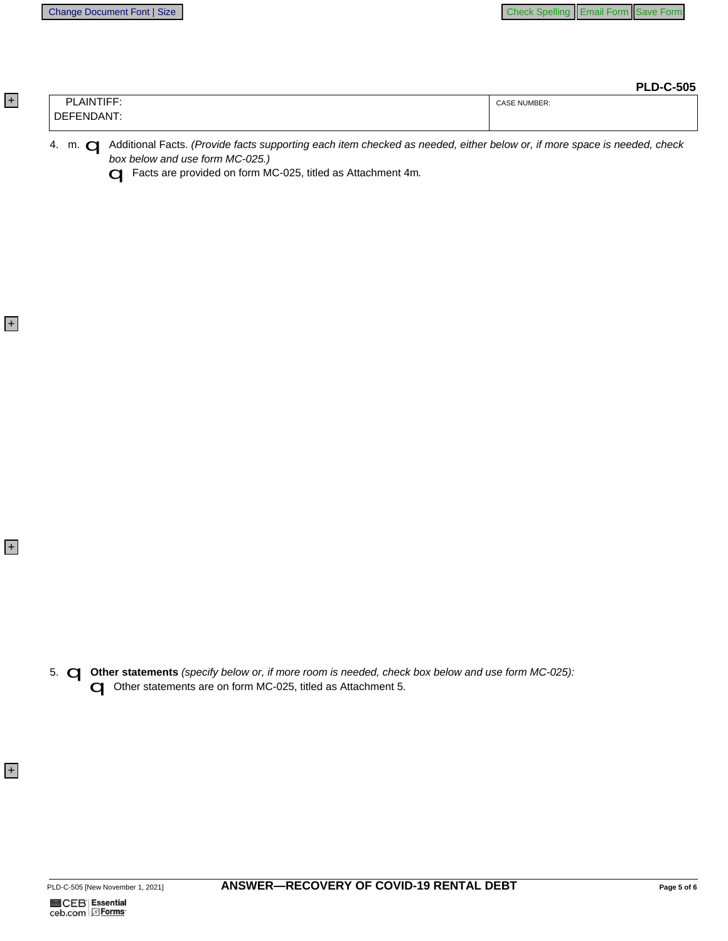**PLD-C-505** 

|    | <b>AINTIFF</b><br>ום                       | T NUMBER:<br>CASE |
|----|--------------------------------------------|-------------------|
| DF | $\overline{\phantom{0}}$<br>14 N.I<br>- ND |                   |

4. m. C Additional Facts. (Provide facts supporting each item checked as needed, either below or, if more space is needed, check box below and use form MC-025.)

G Facts are provided on form MC-025, titled as Attachment 4m.

5. **Q Other statements** (specify below or, if more room is needed, check box below and use form MC-025):<br> **Q** Other statements are on form MC-025, titled as Attachment 5.

 $+$ 

 $+$ 

 $|+|$ 

+